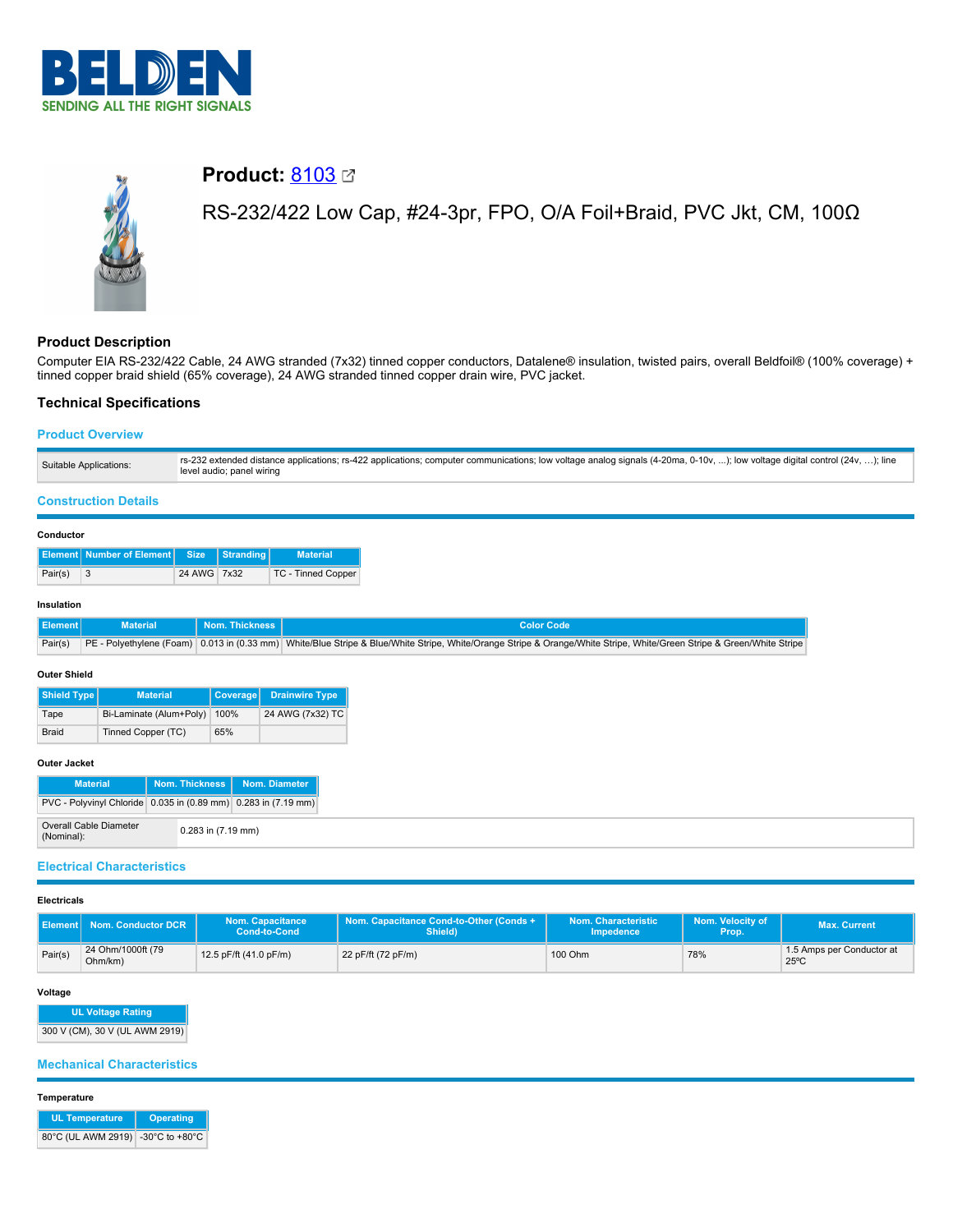



# **Product: [8103](https://catalog.belden.com/index.cfm?event=pd&p=PF_8103&tab=downloads) Ø**

RS-232/422 Low Cap, #24-3pr, FPO, O/A Foil+Braid, PVC Jkt, CM, 100Ω

# **Product Description**

Computer EIA RS-232/422 Cable, 24 AWG stranded (7x32) tinned copper conductors, Datalene® insulation, twisted pairs, overall Beldfoil® (100% coverage) + tinned copper braid shield (65% coverage), 24 AWG stranded tinned copper drain wire, PVC jacket.

# **Technical Specifications**

# **Product Overview**

| Suitable Applications: | rs-232 extended distance applications; rs-422 applications; computer communications; low voltage analog signals (4-20ma, 0-10v, ); low voltage digital control (24v, ); line<br>level audio; panel wiring |
|------------------------|-----------------------------------------------------------------------------------------------------------------------------------------------------------------------------------------------------------|
|------------------------|-----------------------------------------------------------------------------------------------------------------------------------------------------------------------------------------------------------|

## **Construction Details**

#### **Conductor**

|         | <b>Element Number of Element Size Stranding</b> |             | <b>Material</b>    |
|---------|-------------------------------------------------|-------------|--------------------|
| Pair(s) |                                                 | 24 AWG 7x32 | TC - Tinned Copper |

#### **Insulation**

| Element | <b>Example Material</b> | N Nom. Thickness N | Color Code                                                                                                                                                                    |
|---------|-------------------------|--------------------|-------------------------------------------------------------------------------------------------------------------------------------------------------------------------------|
|         |                         |                    | Pair(s) PE - Polyethylene (Foam) 0.013 in (0.33 mm) White/Blue Stripe & Blue/White Stripe, White/Grange Stripe & Orange/White Stripe, White/Green Stripe & Green/White Stripe |

#### **Outer Shield**

| Shield Type  | <b>Material</b>         | <b>Coverage</b> | <b>Drainwire Type</b> |
|--------------|-------------------------|-----------------|-----------------------|
| Tape         | Bi-Laminate (Alum+Poly) | 100%            | 24 AWG (7x32) TC      |
| <b>Braid</b> | Tinned Copper (TC)      | 65%             |                       |

#### **Outer Jacket**

| <b>Material</b>                                                |                    | Nom. Thickness   Nom. Diameter |
|----------------------------------------------------------------|--------------------|--------------------------------|
| PVC - Polyvinyl Chloride 0.035 in (0.89 mm) 0.283 in (7.19 mm) |                    |                                |
| <b>Overall Cable Diameter</b><br>(Nominal):                    | 0.283 in (7.19 mm) |                                |

## **Electrical Characteristics**

#### **Electricals**

| II Element I | Nom. Conductor DCR <sup>1</sup> | <b>Nom. Capacitance</b><br><b>Cond-to-Cond</b> | Nom. Capacitance Cond-to-Other (Conds +<br>Shield) | Nom. Characteristic<br><b>Impedence</b> | Nom. Velocity of<br>Prop. | <b>Max. Current</b>                         |
|--------------|---------------------------------|------------------------------------------------|----------------------------------------------------|-----------------------------------------|---------------------------|---------------------------------------------|
| Pair(s)      | 24 Ohm/1000ft (79<br>Ohm/km)    | 12.5 pF/ft (41.0 pF/m)                         | 22 pF/ft (72 pF/m)                                 | 100 Ohm                                 | 78%                       | 1.5 Amps per Conductor at<br>$25^{\circ}$ C |

#### **Voltage**

| <b>UL Voltage Rating</b>       |  |  |  |  |  |
|--------------------------------|--|--|--|--|--|
| 300 V (CM), 30 V (UL AWM 2919) |  |  |  |  |  |

## **Mechanical Characteristics**

#### **Temperature**

| <b>UL Temperature</b>             | Operating |
|-----------------------------------|-----------|
| 80°C (UL AWM 2919) -30°C to +80°C |           |